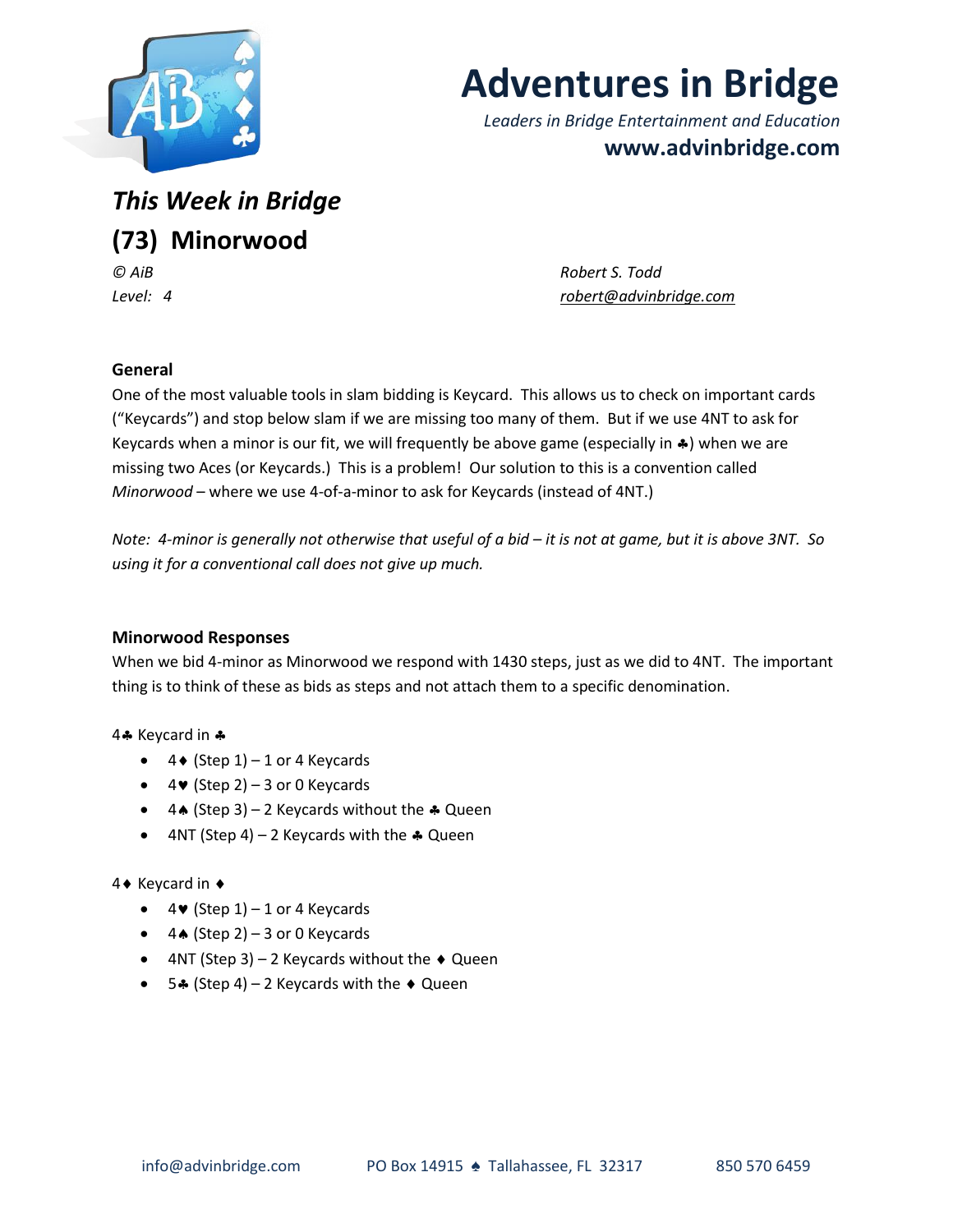

# **Adventures in Bridge**

*Leaders in Bridge Entertainment and Education* **www.advinbridge.com**

*This Week in Bridge* **(73) Minorwood**

*© AiB Robert S. Todd Level: 4 [robert@advinbridge.com](mailto:robert@advinbridge.com)*

# **General**

One of the most valuable tools in slam bidding is Keycard. This allows us to check on important cards ("Keycards") and stop below slam if we are missing too many of them. But if we use 4NT to ask for Keycards when a minor is our fit, we will frequently be above game (especially in  $\clubsuit$ ) when we are missing two Aces (or Keycards.) This is a problem! Our solution to this is a convention called *Minorwood* – where we use 4-of-a-minor to ask for Keycards (instead of 4NT.)

*Note: 4-minor is generally not otherwise that useful of a bid – it is not at game, but it is above 3NT. So using it for a conventional call does not give up much.* 

# **Minorwood Responses**

When we bid 4-minor as Minorwood we respond with 1430 steps, just as we did to 4NT. The important thing is to think of these as bids as steps and not attach them to a specific denomination.

#### 4. Keycard in &

- $\bullet$  4  $($  Step 1 $)$  1 or 4 Keycards
- $\bullet$  4 $\bullet$  (Step 2) 3 or 0 Keycards
- $\bullet$  4★ (Step 3) 2 Keycards without the  $\clubsuit$  Queen
- $4NT$  (Step 4) 2 Keycards with the  $\clubsuit$  Queen

# 4 Keycard in ♦

- $\bullet$  4 $\bullet$  (Step 1) 1 or 4 Keycards
- $\bullet$  4. (Step 2) 3 or 0 Keycards
- $\bullet$  4NT (Step 3) 2 Keycards without the  $\bullet$  Queen
- 54 (Step 4) 2 Keycards with the  $\triangle$  Queen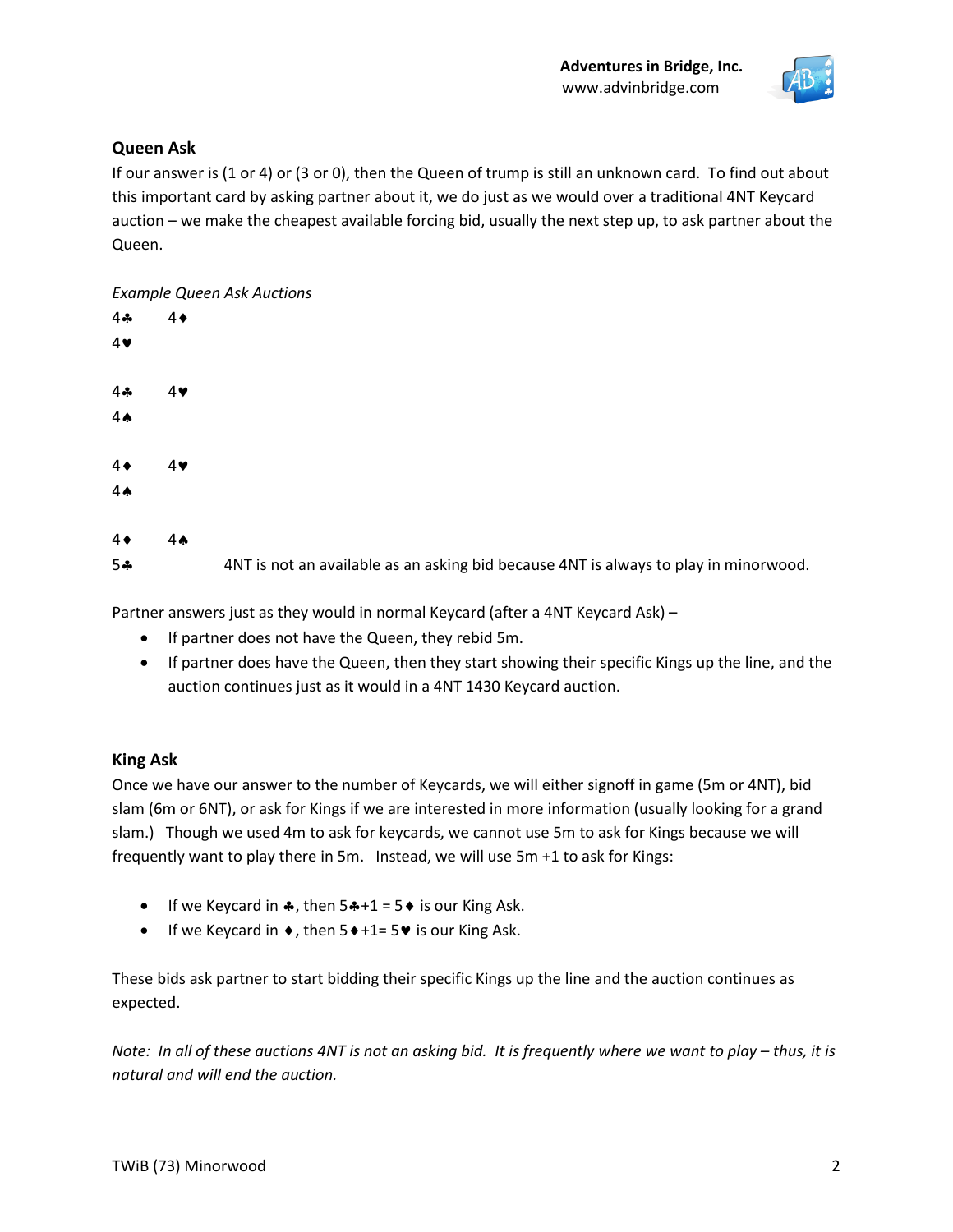

## **Queen Ask**

If our answer is (1 or 4) or (3 or 0), then the Queen of trump is still an unknown card. To find out about this important card by asking partner about it, we do just as we would over a traditional 4NT Keycard auction – we make the cheapest available forcing bid, usually the next step up, to ask partner about the Queen.

#### *Example Queen Ask Auctions*

| 4÷               | $4\bullet$     |                                                                                      |
|------------------|----------------|--------------------------------------------------------------------------------------|
| 4♥               |                |                                                                                      |
|                  |                |                                                                                      |
| 4÷               | 4              |                                                                                      |
| $4 \spadesuit$   |                |                                                                                      |
|                  |                |                                                                                      |
| $4\blacklozenge$ | 4              |                                                                                      |
| $4 \spadesuit$   |                |                                                                                      |
|                  |                |                                                                                      |
| $4\blacklozenge$ | 4 <sub>•</sub> |                                                                                      |
| 5*               |                | 4NT is not an available as an asking bid because 4NT is always to play in minorwood. |
|                  |                |                                                                                      |

Partner answers just as they would in normal Keycard (after a 4NT Keycard Ask) –

- If partner does not have the Queen, they rebid 5m.
- If partner does have the Queen, then they start showing their specific Kings up the line, and the auction continues just as it would in a 4NT 1430 Keycard auction.

#### **King Ask**

Once we have our answer to the number of Keycards, we will either signoff in game (5m or 4NT), bid slam (6m or 6NT), or ask for Kings if we are interested in more information (usually looking for a grand slam.) Though we used 4m to ask for keycards, we cannot use 5m to ask for Kings because we will frequently want to play there in 5m. Instead, we will use 5m +1 to ask for Kings:

- If we Keycard in  $\clubsuit$ , then  $5\clubsuit +1 = 5\spadesuit$  is our King Ask.
- If we Keycard in  $\bullet$ , then  $5\bullet +1= 5\bullet$  is our King Ask.

These bids ask partner to start bidding their specific Kings up the line and the auction continues as expected.

*Note: In all of these auctions 4NT is not an asking bid. It is frequently where we want to play – thus, it is natural and will end the auction.*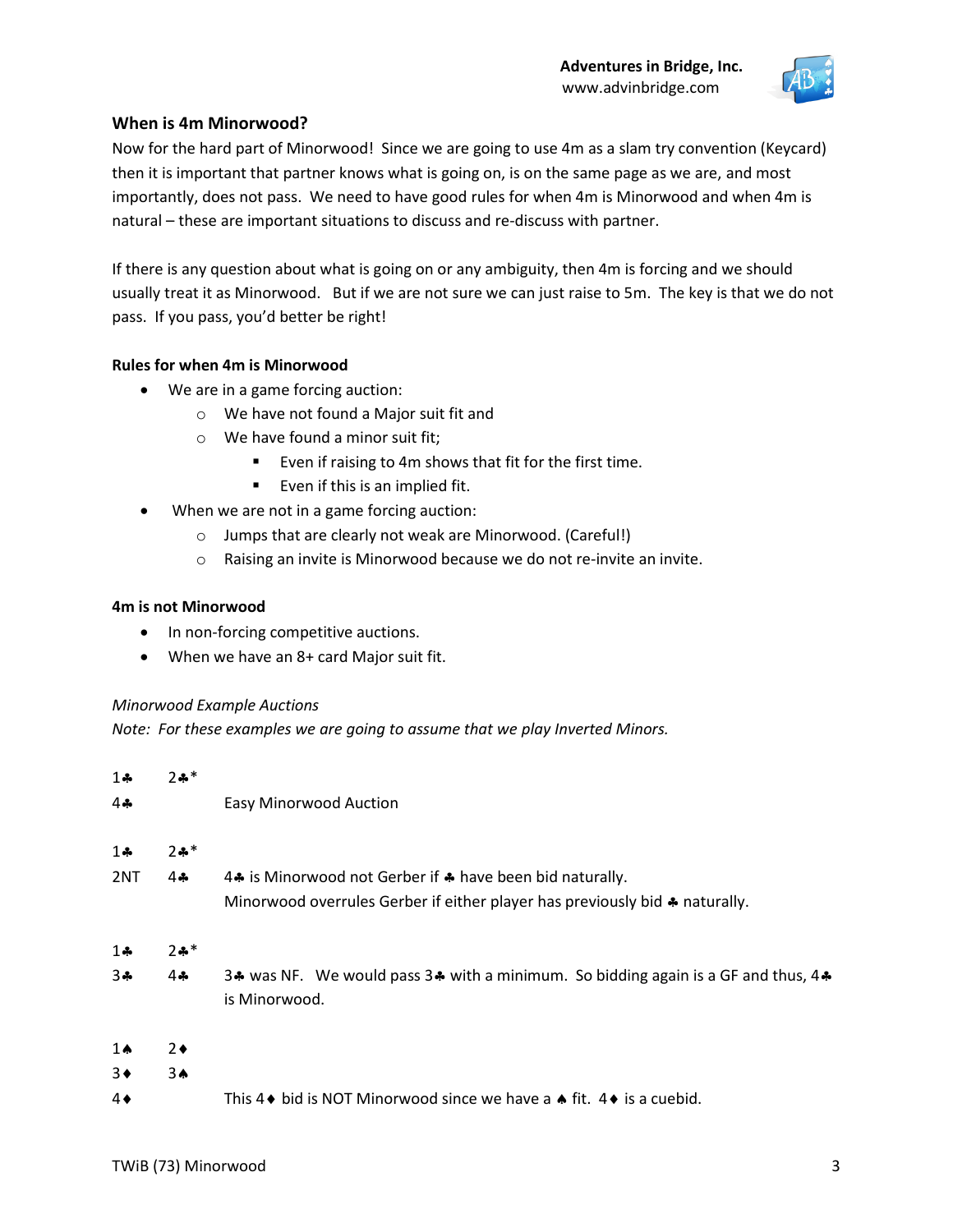

## **When is 4m Minorwood?**

Now for the hard part of Minorwood! Since we are going to use 4m as a slam try convention (Keycard) then it is important that partner knows what is going on, is on the same page as we are, and most importantly, does not pass. We need to have good rules for when 4m is Minorwood and when 4m is natural – these are important situations to discuss and re-discuss with partner.

If there is any question about what is going on or any ambiguity, then 4m is forcing and we should usually treat it as Minorwood. But if we are not sure we can just raise to 5m. The key is that we do not pass. If you pass, you'd better be right!

#### **Rules for when 4m is Minorwood**

- We are in a game forcing auction:
	- o We have not found a Major suit fit and
	- o We have found a minor suit fit;
		- Even if raising to 4m shows that fit for the first time.
		- Even if this is an implied fit.
- When we are not in a game forcing auction:
	- o Jumps that are clearly not weak are Minorwood. (Careful!)
	- o Raising an invite is Minorwood because we do not re-invite an invite.

#### **4m is not Minorwood**

- In non-forcing competitive auctions.
- When we have an 8+ card Major suit fit.

#### *Minorwood Example Auctions*

*Note: For these examples we are going to assume that we play Inverted Minors.*

| $1 -$          | $2 + *$         |                                                                                                    |
|----------------|-----------------|----------------------------------------------------------------------------------------------------|
| 4♣             |                 | <b>Easy Minorwood Auction</b>                                                                      |
| $1 -$          | $2 + *$         |                                                                                                    |
| 2NT            | $4 -$           | 4. is Minorwood not Gerber if $\clubsuit$ have been bid naturally.                                 |
|                |                 | Minorwood overrules Gerber if either player has previously bid $\clubsuit$ naturally.              |
| $1 -$          | $2 + *$         |                                                                                                    |
| $3 +$          | $4$ $\clubsuit$ | 3. Was NF. We would pass 3. with a minimum. So bidding again is a GF and thus, 4.<br>is Minorwood. |
| $1 \spadesuit$ | $2\bullet$      |                                                                                                    |
| $3\bullet$     | 3A              |                                                                                                    |
| 4♦             |                 | This 4 $\bullet$ bid is NOT Minorwood since we have a $\bullet$ fit. 4 $\bullet$ is a cuebid.      |
|                |                 |                                                                                                    |